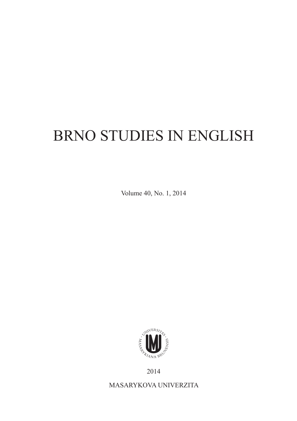## BRNO STUDIES IN ENGLISH

Volume 40, No. 1, 2014



2014

MASARYKOVA UNIVERZITA